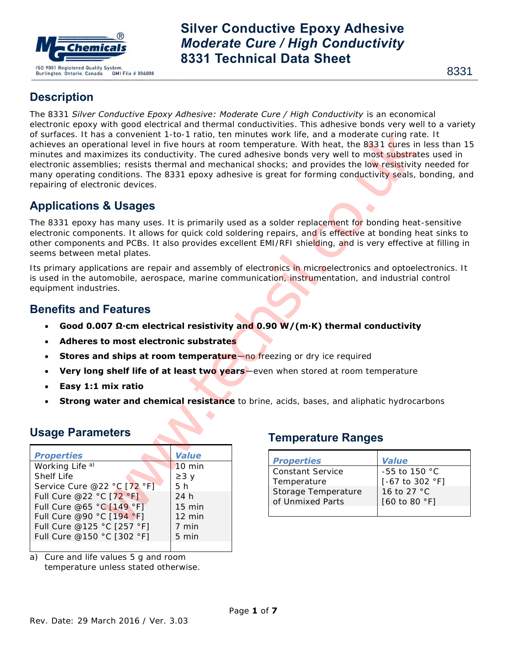

# **Description**

The 8331 *Silver Conductive Epoxy Adhesive: Moderate Cure / High Conductivity* is an economical electronic epoxy with good electrical and thermal conductivities. This adhesive bonds very well to a variety of surfaces. It has a convenient 1-to-1 ratio, ten minutes work life, and a moderate curing rate. It achieves an operational level in five hours at room temperature. With heat, the 8331 cures in less than 15 minutes and maximizes its conductivity. The cured adhesive bonds very well to most substrates used in electronic assemblies; resists thermal and mechanical shocks; and provides the low resistivity needed for many operating conditions. The 8331 epoxy adhesive is great for forming conductivity seals, bonding, and repairing of electronic devices. So constant The Treat technolic substrates<br>
So constant and moderate curring and moderate curricus with the attentional level in five hours at room temperature. With heat, the 8331 agres<br>
Internal and mechanical shocks and

# **Applications & Usages**

The 8331 epoxy has many uses. It is primarily used as a solder replacement for bonding heat-sensitive electronic components. It allows for quick cold soldering repairs, and is effective at bonding heat sinks to other components and PCBs. It also provides excellent EMI/RFI shielding, and is very effective at filling in seems between metal plates.

Its primary applications are repair and assembly of electronics in microelectronics and optoelectronics. It is used in the automobile, aerospace, marine communication, instrumentation, and industrial control equipment industries.

### **Benefits and Features**

- **Good 0.007 Ω·cm electrical resistivity and 0.90 W/(m·K) thermal conductivity**
- **Adheres to most electronic substrates**
- **Stores and ships at room temperature**—no freezing or dry ice required
- **Very long shelf life of at least two years**—even when stored at room temperature
- **Easy 1:1 mix ratio**
- **Strong water and chemical resistance** to brine, acids, bases, and aliphatic hydrocarbons

## **Usage Parameters**

| <b>Properties</b>           | <b>Value</b>     |
|-----------------------------|------------------|
| Working Life <sup>a)</sup>  | $10 \text{ min}$ |
| Shelf Life                  | $\geq$ 3 y       |
| Service Cure @22 °C [72 °F] | 5 h              |
| Full Cure @22 °C [72 °F]    | 24h              |
| Full Cure @65 °C [149 °F]   | $15$ min         |
| Full Cure @90 °C [194 °F]   | $12 \text{ min}$ |
| Full Cure @125 °C [257 °F]  | 7 min            |
| Full Cure @150 °C [302 °F]  | 5 min            |
|                             |                  |

a) Cure and life values 5 g and room temperature unless stated otherwise.

### **Temperature Ranges**

| <b>Properties</b>   | <b>Value</b>                       |
|---------------------|------------------------------------|
| Constant Service    | $-55$ to 150 °C                    |
| Temperature         | $[-67 \text{ to } 302 \text{ °F}]$ |
| Storage Temperature | 16 to 27 °C                        |
| of Unmixed Parts    | [60 to 80 °F]                      |
|                     |                                    |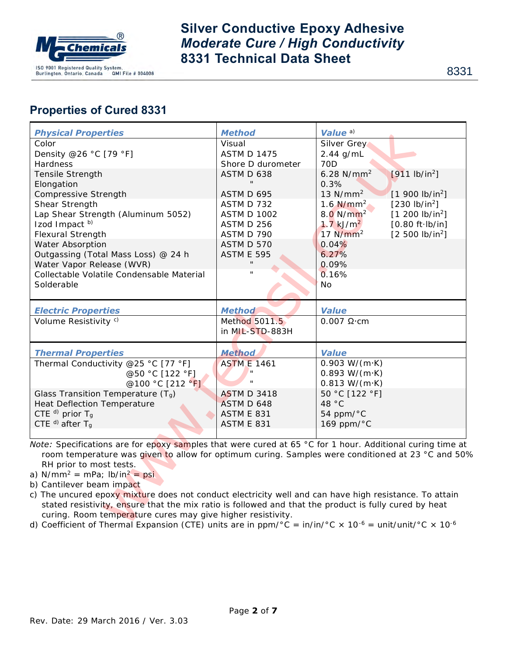

8331

# **Properties of Cured 8331**

| <b>Physical Properties</b>                                                                                                    | <b>Method</b>            | Value <sup>a)</sup>                                                                         |  |  |  |
|-------------------------------------------------------------------------------------------------------------------------------|--------------------------|---------------------------------------------------------------------------------------------|--|--|--|
| Color                                                                                                                         | Visual                   | Silver Grey                                                                                 |  |  |  |
| Density @26 °C [79 °F]                                                                                                        | <b>ASTM D 1475</b>       | $2.44$ g/mL                                                                                 |  |  |  |
| Hardness                                                                                                                      | Shore D durometer        | <b>70D</b>                                                                                  |  |  |  |
| Tensile Strength                                                                                                              | ASTM D 638               | $6.28$ N/mm <sup>2</sup><br>[911 lb/in <sup>2</sup> ]                                       |  |  |  |
| Elongation                                                                                                                    |                          | 0.3%                                                                                        |  |  |  |
| Compressive Strength                                                                                                          | ASTM D 695               | $13$ N/mm <sup>2</sup><br>[1 900 lb/in <sup>2</sup> ]                                       |  |  |  |
| Shear Strength                                                                                                                | ASTM D 732               | 1.6 $N/mm^2$<br>[230 lb/in <sup>2</sup> ]                                                   |  |  |  |
| Lap Shear Strength (Aluminum 5052)                                                                                            | <b>ASTM D 1002</b>       | 8.0 N/mm <sup>2</sup><br>[1 200 lb/in <sup>2</sup> ]                                        |  |  |  |
| Izod Impact <sup>b)</sup>                                                                                                     | ASTM D 256               | $1.7$ kJ/m <sup>2</sup><br>$[0.80 \text{ ft} \cdot \text{lb/in}]$<br>$17$ N/mm <sup>2</sup> |  |  |  |
| Flexural Strength<br>Water Absorption                                                                                         | ASTM D 790<br>ASTM D 570 | [2 500 lb/in <sup>2</sup> ]<br>0.04%                                                        |  |  |  |
| Outgassing (Total Mass Loss) @ 24 h                                                                                           | ASTM E 595               | 6.27%                                                                                       |  |  |  |
| Water Vapor Release (WVR)                                                                                                     |                          | 0.09%                                                                                       |  |  |  |
| Collectable Volatile Condensable Material                                                                                     |                          | 0.16%                                                                                       |  |  |  |
| Solderable                                                                                                                    |                          | <b>No</b>                                                                                   |  |  |  |
|                                                                                                                               |                          |                                                                                             |  |  |  |
| <b>Electric Properties</b>                                                                                                    | <b>Method</b>            | <b>Value</b>                                                                                |  |  |  |
| Volume Resistivity <sup>c)</sup>                                                                                              | Method 5011.5            | $0.007$ $\Omega$ ·cm                                                                        |  |  |  |
|                                                                                                                               | in MIL-STD-883H          |                                                                                             |  |  |  |
| <b>Thermal Properties</b>                                                                                                     | <b>Method</b>            | <b>Value</b>                                                                                |  |  |  |
| Thermal Conductivity @25 °C [77 °F]                                                                                           | <b>ASTM E 1461</b>       | $0.903 W/(m \cdot K)$                                                                       |  |  |  |
| @50 °C [122 °F]                                                                                                               |                          | $0.893 W/(m \cdot K)$                                                                       |  |  |  |
| @100 °C [212 °F]                                                                                                              |                          | $0.813 W/(m \cdot K)$                                                                       |  |  |  |
| Glass Transition Temperature $(T_q)$                                                                                          | <b>ASTM D 3418</b>       | 50 °C [122 °F]                                                                              |  |  |  |
| Heat Deflection Temperature                                                                                                   | ASTM D 648               | 48 °C                                                                                       |  |  |  |
| CTE $d)$ prior Tg                                                                                                             | <b>ASTM E 831</b>        | 54 ppm/ $°C$                                                                                |  |  |  |
| CTE $d)$ after T <sub>g</sub>                                                                                                 | <b>ASTM E 831</b>        | 169 ppm/ $°C$                                                                               |  |  |  |
| Note: Specifications are for epoxy samples that were cured at 65 °C for 1 hour. Additional curing time at                     |                          |                                                                                             |  |  |  |
| room temperature was given to allow for optimum curing. Samples were conditioned at 23 °C and 50°                             |                          |                                                                                             |  |  |  |
| RH prior to most tests.                                                                                                       |                          |                                                                                             |  |  |  |
| a) $N/mm^2 = mPa$ ; $lb/in^2 = psi$                                                                                           |                          |                                                                                             |  |  |  |
| b) Cantilever beam impact                                                                                                     |                          |                                                                                             |  |  |  |
| c) The uncured epoxy mixture does not conduct electricity well and can have high resistance. To attain                        |                          |                                                                                             |  |  |  |
| stated resistivity, ensure that the mix ratio is followed and that the product is fully cured by heat                         |                          |                                                                                             |  |  |  |
| curing. Room temperature cures may give higher resistivity.                                                                   |                          |                                                                                             |  |  |  |
| d) Coefficient of Thermal Expansion (CTE) units are in ppm/°C = in/in/°C x 10 <sup>-6</sup> = unit/unit/°C x 10 <sup>-6</sup> |                          |                                                                                             |  |  |  |

- c) The uncured epoxy mixture does not conduct electricity well and can have high resistance. To attain stated resistivity, ensure that the mix ratio is followed and that the product is fully cured by heat curing. Room temperature cures may give higher resistivity.
- d) Coefficient of Thermal Expansion (CTE) units are in  $ppm/°C = in/in/°C \times 10^{-6} = unit/unit/°C \times 10^{-6}$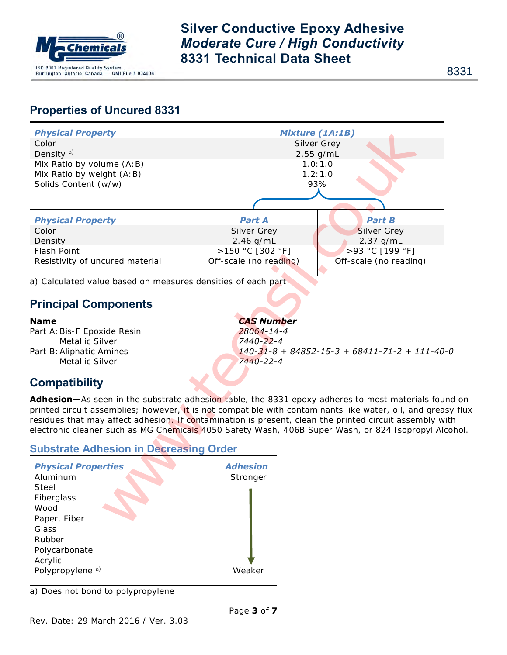

8331

# **Properties of Uncured 8331**

| <b>Physical Property</b>                                                                               | <b>Mixture (1A:1B)</b> |                                               |  |  |
|--------------------------------------------------------------------------------------------------------|------------------------|-----------------------------------------------|--|--|
| Color                                                                                                  | Silver Grey            |                                               |  |  |
| Density <sup>a)</sup>                                                                                  | $2.55$ g/mL            |                                               |  |  |
| Mix Ratio by volume (A: B)                                                                             | 1.0:1.0<br>1.2:1.0     |                                               |  |  |
| Mix Ratio by weight (A: B)<br>Solids Content (w/w)                                                     |                        | 93%                                           |  |  |
|                                                                                                        |                        |                                               |  |  |
|                                                                                                        |                        |                                               |  |  |
| <b>Physical Property</b>                                                                               | <b>Part A</b>          | <b>Part B</b>                                 |  |  |
| Color                                                                                                  | Silver Grey            | Silver Grey                                   |  |  |
| Density                                                                                                | $2.46$ g/mL            | 2.37 g/mL                                     |  |  |
| Flash Point                                                                                            | >150 °C [302 °F]       | >93 °C [199 °F]                               |  |  |
| Resistivity of uncured material                                                                        | Off-scale (no reading) | Off-scale (no reading)                        |  |  |
| a) Calculated value based on measures densities of each part                                           |                        |                                               |  |  |
|                                                                                                        |                        |                                               |  |  |
| <b>Principal Components</b>                                                                            |                        |                                               |  |  |
| <b>Name</b>                                                                                            | <b>CAS Number</b>      |                                               |  |  |
| Part A: Bis-F Epoxide Resin                                                                            | 28064-14-4             |                                               |  |  |
| Metallic Silver                                                                                        | 7440-22-4              |                                               |  |  |
| Part B: Aliphatic Amines                                                                               |                        | $140-31-8 + 84852-15-3 + 68411-71-2 + 111-40$ |  |  |
| Metallic Silver                                                                                        | 7440-22-4              |                                               |  |  |
|                                                                                                        |                        |                                               |  |  |
| <b>Compatibility</b>                                                                                   |                        |                                               |  |  |
| Adhesion-As seen in the substrate adhesion table, the 8331 epoxy adheres to most materials four        |                        |                                               |  |  |
| printed circuit assemblies; however, it is not compatible with contaminants like water, oil, and greas |                        |                                               |  |  |
| residues that may affect adhesion. If contamination is present, clean the printed circuit assembly wi  |                        |                                               |  |  |
| electronic cleaner such as MG Chemicals 4050 Safety Wash, 406B Super Wash, or 824 Isopropyl Ald        |                        |                                               |  |  |
|                                                                                                        |                        |                                               |  |  |
| <b>Substrate Adhesion in Decreasing Order</b>                                                          |                        |                                               |  |  |
| <b>Physical Properties</b>                                                                             | <b>Adhesion</b>        |                                               |  |  |
| Aluminum                                                                                               | Stronger               |                                               |  |  |
| Steel                                                                                                  |                        |                                               |  |  |
| Fiberglass                                                                                             |                        |                                               |  |  |
| Wood                                                                                                   |                        |                                               |  |  |
| Paper, Fiber                                                                                           |                        |                                               |  |  |
| $\bigcap$                                                                                              |                        |                                               |  |  |

# **Compatibility**

**Adhesion—**As seen in the substrate adhesion table, the 8331 epoxy adheres to most materials found on printed circuit assemblies; however, it is not compatible with contaminants like water, oil, and greasy flux residues that may affect adhesion. If contamination is present, clean the printed circuit assembly with electronic cleaner such as MG Chemicals 4050 Safety Wash, 406B Super Wash, or 824 Isopropyl Alcohol.

### **Substrate Adhesion in Decreasing Order**

| <b>Physical Properties</b>  | <b>Adhesion</b> |  |
|-----------------------------|-----------------|--|
| Aluminum                    | Stronger        |  |
| Steel                       |                 |  |
| Fiberglass                  |                 |  |
| Wood                        |                 |  |
| Paper, Fiber                |                 |  |
| Glass                       |                 |  |
| Rubber                      |                 |  |
| Polycarbonate               |                 |  |
| Acrylic                     |                 |  |
| Polypropylene <sup>a)</sup> | Weaker          |  |
|                             |                 |  |

a) Does not bond to polypropylene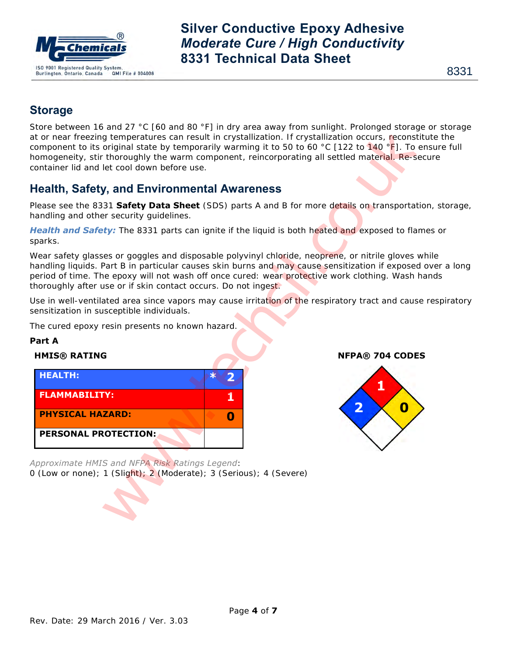

## **Storage**

Store between 16 and 27 °C [60 and 80 °F] in dry area away from sunlight. Prolonged storage or storage at or near freezing temperatures can result in crystallization. If crystallization occurs, reconstitute the component to its original state by temporarily warming it to 50 to 60 °C [122 to 140 °F]. To ensure full homogeneity, stir thoroughly the warm component, reincorporating all settled material. Re-secure container lid and let cool down before use.

## **Health, Safety, and Environmental Awareness**

Please see the 8331 **Safety Data Sheet** (SDS) parts A and B for more details on transportation, storage, handling and other security guidelines.

*Health and Safety:* The 8331 parts can ignite if the liquid is both heated and exposed to flames or sparks.

Wear safety glasses or goggles and disposable polyvinyl chloride, neoprene, or nitrile gloves while handling liquids. Part B in particular causes skin burns and may cause sensitization if exposed over a long period of time. The epoxy will not wash off once cured: wear protective work clothing. Wash hands thoroughly after use or if skin contact occurs. Do not ingest.

Use in well-ventilated area since vapors may cause irritation of the respiratory tract and cause respiratory sensitization in susceptible individuals.

The cured epoxy resin presents no known hazard.

### **Part A**



*Approximate HMIS and NFPA Risk Ratings Legend*: 0 (Low or none); 1 (Slight); 2 (Moderate); 3 (Serious); 4 (Severe)

**HMIS® RATING NFPA® 704 CODES**

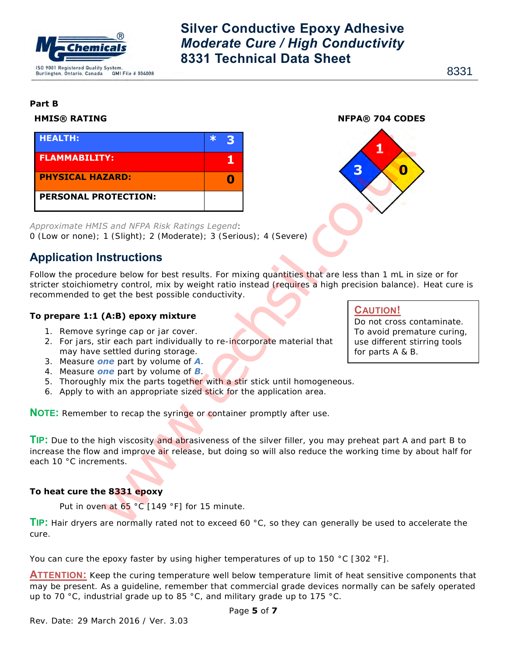

8331

#### **Part B**

#### **HMIS® RATING NFPA® 704 CODES**



*Approximate HMIS and NFPA Risk Ratings Legend*: 0 (Low or none); 1 (Slight); 2 (Moderate); 3 (Serious); 4 (Severe)

### **Application Instructions**

Follow the procedure below for best results. For mixing quantities that are less than 1 mL in size or for stricter stoichiometry control, mix by weight ratio instead (requires a high precision balance). Heat cure is recommended to get the best possible conductivity.

### **To prepare 1:1 (A:B) epoxy mixture**

- 1. Remove syringe cap or jar cover.
- 2. For jars, stir each part individually to re-incorporate material that may have settled during storage.
- 3. Measure *one* part by volume of *A*.
- 4. Measure *one* part by volume of *B*.
- 5. Thoroughly mix the parts together with a stir stick until homogeneous.
- 6. Apply to with an appropriate sized stick for the application area.

**NOTE:** Remember to recap the syringe or container promptly after use.

#### **TIP:** Due to the high viscosity and abrasiveness of the silver filler, you may preheat part A and part B to increase the flow and improve air release, but doing so will also reduce the working time by about half for each 10 °C increments.

### **To heat cure the 8331 epoxy**

Put in oven at 65 °C [149 °F] for 15 minute.

**TIP:** Hair dryers are normally rated not to exceed 60 °C, so they can generally be used to accelerate the cure.

You can cure the epoxy faster by using higher temperatures of up to 150 °C [302 °F].

**ATTENTION:** Keep the curing temperature well below temperature limit of heat sensitive components that may be present. As a guideline, remember that commercial grade devices normally can be safely operated up to 70 °C, industrial grade up to 85 °C, and military grade up to 175 °C.

### **CAUTION!**

Do not cross contaminate. To avoid premature curing, use different stirring tools for parts A & B.

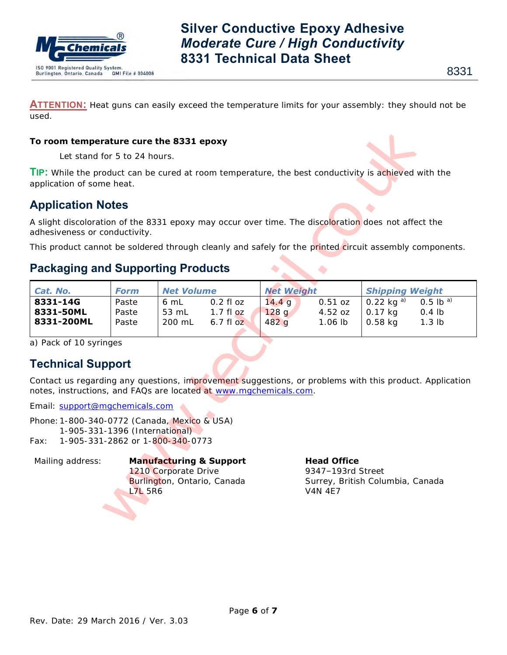

**ATTENTION:** Heat guns can easily exceed the temperature limits for your assembly: they should not be used.

#### **To room temperature cure the 8331 epoxy**

## **Application Notes**

## **Packaging and Supporting Products**

| To room temperature cure the 8331 epoxy                                                                                                                                          |                         |                                                                                           |                                        |                        |                                                                                               |                                        |                                     |  |
|----------------------------------------------------------------------------------------------------------------------------------------------------------------------------------|-------------------------|-------------------------------------------------------------------------------------------|----------------------------------------|------------------------|-----------------------------------------------------------------------------------------------|----------------------------------------|-------------------------------------|--|
| Let stand for 5 to 24 hours.                                                                                                                                                     |                         |                                                                                           |                                        |                        |                                                                                               |                                        |                                     |  |
| TIP: While the product can be cured at room temperature, the best conductivity is achieved with the<br>application of some heat.                                                 |                         |                                                                                           |                                        |                        |                                                                                               |                                        |                                     |  |
| <b>Application Notes</b>                                                                                                                                                         |                         |                                                                                           |                                        |                        |                                                                                               |                                        |                                     |  |
| A slight discoloration of the 8331 epoxy may occur over time. The discoloration does not affect the<br>adhesiveness or conductivity.                                             |                         |                                                                                           |                                        |                        |                                                                                               |                                        |                                     |  |
| This product cannot be soldered through cleanly and safely for the printed circuit assembly components.                                                                          |                         |                                                                                           |                                        |                        |                                                                                               |                                        |                                     |  |
| <b>Packaging and Supporting Products</b>                                                                                                                                         |                         |                                                                                           |                                        |                        | $\bullet$                                                                                     |                                        |                                     |  |
| Cat. No.                                                                                                                                                                         | <b>Form</b>             | <b>Net Volume</b>                                                                         |                                        |                        | <b>Net Weight</b>                                                                             |                                        | <b>Shipping Weight</b>              |  |
| 8331-14G<br>8331-50ML<br>8331-200ML                                                                                                                                              | Paste<br>Paste<br>Paste | 6 mL<br>53 mL<br>200 mL                                                                   | $0.2$ fl $oz$<br>$1.7f1$ oz<br>6.7f1oz | 14.4 g<br>128g<br>482g | 0.51 oz<br>4.52 oz<br>1.06 lb                                                                 | 0.22 kg $a)$<br>$0.17$ kg<br>$0.58$ kg | $0.5$ lb $a)$<br>$0.4$ lb<br>1.3 lb |  |
| a) Pack of 10 syringes<br><b>Technical Support</b><br>Contact us regarding any questions, improvement suggestions, or problems with this product. Application                    |                         |                                                                                           |                                        |                        |                                                                                               |                                        |                                     |  |
| notes, instructions, and FAQs are located at www.mgchemicals.com.                                                                                                                |                         |                                                                                           |                                        |                        |                                                                                               |                                        |                                     |  |
| Email: support@mgchemicals.com<br>Phone: 1-800-340-0772 (Canada, Mexico & USA)<br>1-905-331-1396 (International)<br>1-905-331-2862 or 1-800-340-0773<br>Fax:<br>Mailing address: | <b>L7L 5R6</b>          | <b>Manufacturing &amp; Support</b><br>1210 Corporate Drive<br>Burlington, Ontario, Canada |                                        |                        | <b>Head Office</b><br>9347-193rd Street<br>Surrey, British Columbia, Canada<br><b>V4N 4E7</b> |                                        |                                     |  |

### **Technical Support**

# Mailing address: **Manufacturing & Support Head Office**